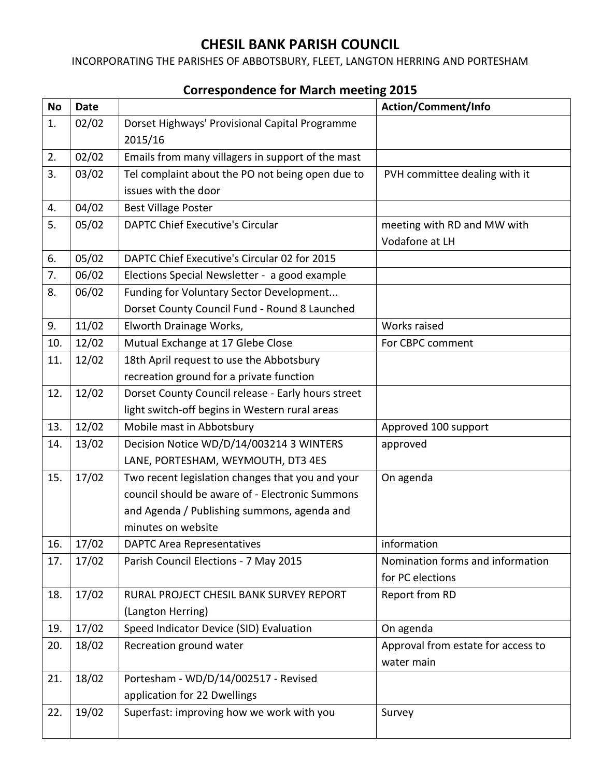## **CHESIL BANK PARISH COUNCIL**

INCORPORATING THE PARISHES OF ABBOTSBURY, FLEET, LANGTON HERRING AND PORTESHAM

| <b>No</b> | <b>Date</b> |                                                    | Action/Comment/Info                |
|-----------|-------------|----------------------------------------------------|------------------------------------|
| 1.        | 02/02       | Dorset Highways' Provisional Capital Programme     |                                    |
|           |             | 2015/16                                            |                                    |
| 2.        | 02/02       | Emails from many villagers in support of the mast  |                                    |
| 3.        | 03/02       | Tel complaint about the PO not being open due to   | PVH committee dealing with it      |
|           |             | issues with the door                               |                                    |
| 4.        | 04/02       | <b>Best Village Poster</b>                         |                                    |
| 5.        | 05/02       | <b>DAPTC Chief Executive's Circular</b>            | meeting with RD and MW with        |
|           |             |                                                    | Vodafone at LH                     |
| 6.        | 05/02       | DAPTC Chief Executive's Circular 02 for 2015       |                                    |
| 7.        | 06/02       | Elections Special Newsletter - a good example      |                                    |
| 8.        | 06/02       | Funding for Voluntary Sector Development           |                                    |
|           |             | Dorset County Council Fund - Round 8 Launched      |                                    |
| 9.        | 11/02       | Elworth Drainage Works,                            | Works raised                       |
| 10.       | 12/02       | Mutual Exchange at 17 Glebe Close                  | For CBPC comment                   |
| 11.       | 12/02       | 18th April request to use the Abbotsbury           |                                    |
|           |             | recreation ground for a private function           |                                    |
| 12.       | 12/02       | Dorset County Council release - Early hours street |                                    |
|           |             | light switch-off begins in Western rural areas     |                                    |
| 13.       | 12/02       | Mobile mast in Abbotsbury                          | Approved 100 support               |
| 14.       | 13/02       | Decision Notice WD/D/14/003214 3 WINTERS           | approved                           |
|           |             | LANE, PORTESHAM, WEYMOUTH, DT3 4ES                 |                                    |
| 15.       | 17/02       | Two recent legislation changes that you and your   | On agenda                          |
|           |             | council should be aware of - Electronic Summons    |                                    |
|           |             | and Agenda / Publishing summons, agenda and        |                                    |
|           |             | minutes on website                                 |                                    |
| 16.       | 17/02       | <b>DAPTC Area Representatives</b>                  | information                        |
| 17.       | 17/02       | Parish Council Elections - 7 May 2015              | Nomination forms and information   |
|           |             |                                                    | for PC elections                   |
| 18.       | 17/02       | RURAL PROJECT CHESIL BANK SURVEY REPORT            | Report from RD                     |
|           |             | (Langton Herring)                                  |                                    |
| 19.       | 17/02       | Speed Indicator Device (SID) Evaluation            | On agenda                          |
| 20.       | 18/02       | Recreation ground water                            | Approval from estate for access to |
|           |             |                                                    | water main                         |
| 21.       | 18/02       | Portesham - WD/D/14/002517 - Revised               |                                    |
|           |             | application for 22 Dwellings                       |                                    |
| 22.       | 19/02       | Superfast: improving how we work with you          | Survey                             |

## **Correspondence for March meeting 2015**